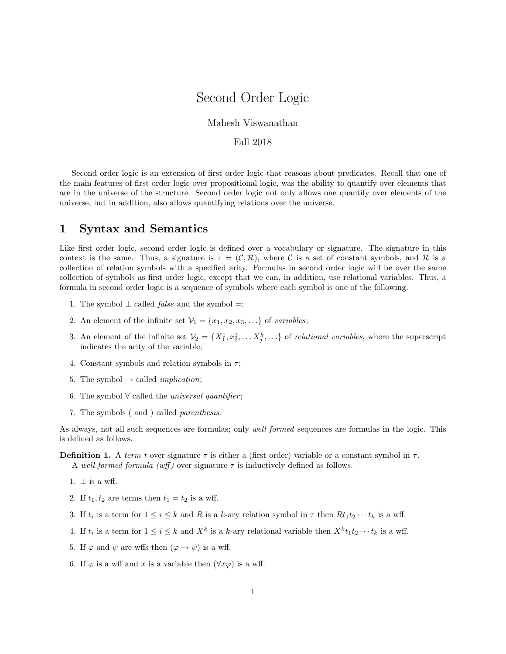# Second Order Logic

### Mahesh Viswanathan

### Fall 2018

Second order logic is an extension of first order logic that reasons about predicates. Recall that one of the main features of first order logic over propositional logic, was the ability to quantify over elements that are in the universe of the structure. Second order logic not only allows one quantify over elements of the universe, but in addition, also allows quantifying relations over the universe.

## 1 Syntax and Semantics

Like first order logic, second order logic is defined over a vocabulary or signature. The signature in this context is the same. Thus, a signature is  $\tau = (\mathcal{C}, \mathcal{R})$ , where C is a set of constant symbols, and R is a collection of relation symbols with a specified arity. Formulas in second order logic will be over the same collection of symbols as first order logic, except that we can, in addition, use relational variables. Thus, a formula in second order logic is a sequence of symbols where each symbol is one of the following.

- 1. The symbol  $\perp$  called *false* and the symbol =;
- 2. An element of the infinite set  $\mathcal{V}_1 = \{x_1, x_2, x_3, \ldots\}$  of variables;
- 3. An element of the infinite set  $V_2 = \{X_1^1, x_2^1, \ldots X_j^k, \ldots\}$  of *relational variables*, where the superscript indicates the arity of the variable;
- 4. Constant symbols and relation symbols in  $\tau$ ;
- 5. The symbol  $\rightarrow$  called *implication*;
- 6. The symbol  $∀$  called the *universal quantifier*;
- 7. The symbols ( and ) called parenthesis.

As always, not all such sequences are formulas; only well formed sequences are formulas in the logic. This is defined as follows.

#### **Definition 1.** A term t over signature  $\tau$  is either a (first order) variable or a constant symbol in  $\tau$ . A well formed formula (wff) over signature  $\tau$  is inductively defined as follows.

- 1.  $\perp$  is a wff.
- 2. If  $t_1, t_2$  are terms then  $t_1 = t_2$  is a wff.
- 3. If  $t_i$  is a term for  $1 \leq i \leq k$  and R is a k-ary relation symbol in  $\tau$  then  $Rt_1t_2\cdots t_k$  is a wff.
- 4. If  $t_i$  is a term for  $1 \leq i \leq k$  and  $X^k$  is a k-ary relational variable then  $X^k t_1 t_2 \cdots t_k$  is a wff.
- 5. If  $\varphi$  and  $\psi$  are wffs then  $(\varphi \to \psi)$  is a wff.
- 6. If  $\varphi$  is a wff and x is a variable then  $(\forall x \varphi)$  is a wff.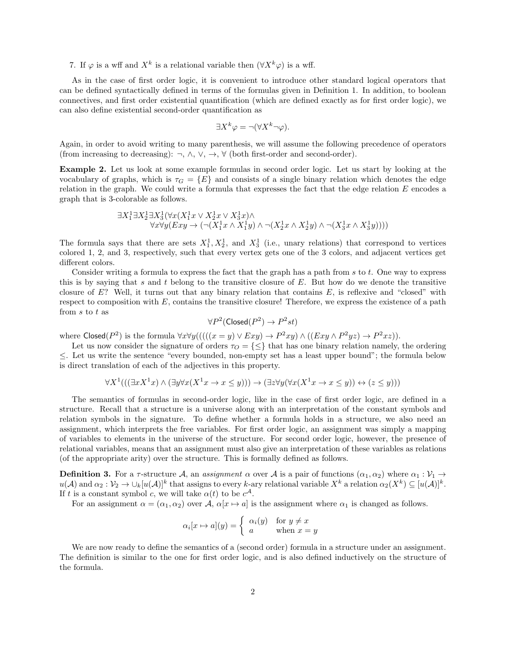7. If  $\varphi$  is a wff and  $X^k$  is a relational variable then  $(\forall X^k \varphi)$  is a wff.

As in the case of first order logic, it is convenient to introduce other standard logical operators that can be defined syntactically defined in terms of the formulas given in Definition 1. In addition, to boolean connectives, and first order existential quantification (which are defined exactly as for first order logic), we can also define existential second-order quantification as

$$
\exists X^k \varphi = \neg(\forall X^k \neg \varphi).
$$

Again, in order to avoid writing to many parenthesis, we will assume the following precedence of operators (from increasing to decreasing):  $\neg$ ,  $\wedge$ ,  $\vee$ ,  $\rightarrow$ ,  $\forall$  (both first-order and second-order).

Example 2. Let us look at some example formulas in second order logic. Let us start by looking at the vocabulary of graphs, which is  $\tau_G = \{E\}$  and consists of a single binary relation which denotes the edge relation in the graph. We could write a formula that expresses the fact that the edge relation  $E$  encodes a graph that is 3-colorable as follows.

$$
\exists X_1^1 \exists X_2^1 \exists X_3^1 (\forall x (X_1^1 x \lor X_2^1 x \lor X_3^1 x) \land \forall x \forall y (Exy \to (\neg (X_1^1 x \land X_1^1 y) \land \neg (X_2^1 x \land X_2^1 y) \land \neg (X_3^1 x \land X_3^1 y))))
$$

The formula says that there are sets  $X_1^1, X_2^1$ , and  $X_3^1$  (i.e., unary relations) that correspond to vertices colored 1, 2, and 3, respectively, such that every vertex gets one of the 3 colors, and adjacent vertices get different colors.

Consider writing a formula to express the fact that the graph has a path from s to t. One way to express this is by saying that s and t belong to the transitive closure of  $E$ . But how do we denote the transitive closure of  $E$ ? Well, it turns out that any binary relation that contains  $E$ , is reflexive and "closed" with respect to composition with  $E$ , contains the transitive closure! Therefore, we express the existence of a path from  $s$  to  $t$  as

$$
\forall P^2(\text{Closed}(P^2) \to P^2st)
$$

where  $\textsf{Closed}(P^2)$  is the formula  $\forall x \forall y (((((x = y) \lor Exy) \rightarrow P^2xy) \land ((Exy \land P^2yz) \rightarrow P^2xz)).$ 

Let us now consider the signature of orders  $\tau_{\Omega} = \{\leq\}$  that has one binary relation namely, the ordering ≤. Let us write the sentence "every bounded, non-empty set has a least upper bound"; the formula below is direct translation of each of the adjectives in this property.

$$
\forall X^{1}(((\exists x X^{1}x) \land (\exists y \forall x (X^{1}x \to x \le y))) \to (\exists z \forall y (\forall x (X^{1}x \to x \le y)) \leftrightarrow (z \le y)))
$$

The semantics of formulas in second-order logic, like in the case of first order logic, are defined in a structure. Recall that a structure is a universe along with an interpretation of the constant symbols and relation symbols in the signature. To define whether a formula holds in a structure, we also need an assignment, which interprets the free variables. For first order logic, an assignment was simply a mapping of variables to elements in the universe of the structure. For second order logic, however, the presence of relational variables, means that an assignment must also give an interpretation of these variables as relations (of the appropriate arity) over the structure. This is formally defined as follows.

**Definition 3.** For a  $\tau$ -structure A, an assignment  $\alpha$  over A is a pair of functions  $(\alpha_1, \alpha_2)$  where  $\alpha_1 : \mathcal{V}_1 \to \mathcal{V}_2$  $u(\mathcal{A})$  and  $\alpha_2 : \mathcal{V}_2 \to \cup_k [u(\mathcal{A})]^k$  that assigns to every k-ary relational variable  $X^k$  a relation  $\alpha_2(X^k) \subseteq [u(\mathcal{A})]^k$ . If t is a constant symbol c, we will take  $\alpha(t)$  to be  $c^{\mathcal{A}}$ .

For an assignment  $\alpha = (\alpha_1, \alpha_2)$  over  $\mathcal{A}, \alpha[x \mapsto a]$  is the assignment where  $\alpha_1$  is changed as follows.

$$
\alpha_i[x \mapsto a](y) = \begin{cases} \alpha_i(y) & \text{for } y \neq x \\ a & \text{when } x = y \end{cases}
$$

We are now ready to define the semantics of a (second order) formula in a structure under an assignment. The definition is similar to the one for first order logic, and is also defined inductively on the structure of the formula.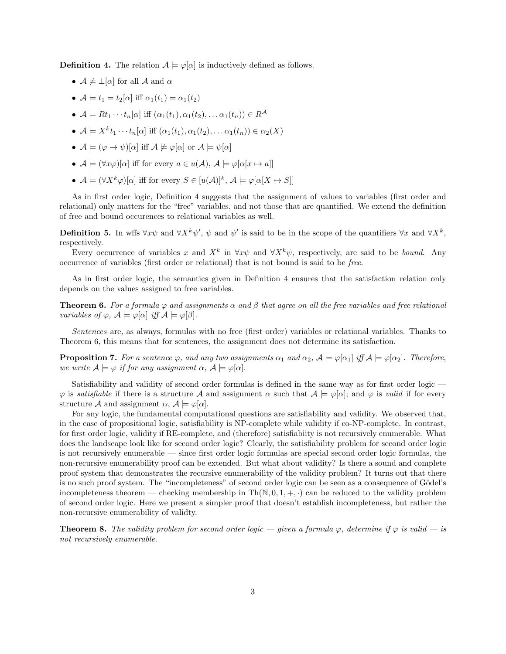**Definition 4.** The relation  $A \models \varphi[\alpha]$  is inductively defined as follows.

- $A \not\models \bot[\alpha]$  for all A and  $\alpha$
- $\mathcal{A} \models t_1 = t_2[\alpha]$  iff  $\alpha_1(t_1) = \alpha_1(t_2)$
- $A \models Rt_1 \cdots t_n[\alpha]$  iff  $(\alpha_1(t_1), \alpha_1(t_2), \ldots \alpha_1(t_n)) \in R^{\mathcal{A}}$
- $A \models X^k t_1 \cdots t_n[\alpha]$  iff  $(\alpha_1(t_1), \alpha_1(t_2), \ldots \alpha_1(t_n)) \in \alpha_2(X)$
- $A \models (\varphi \rightarrow \psi)[\alpha]$  iff  $A \not\models \varphi[\alpha]$  or  $A \models \psi[\alpha]$
- $A \models (\forall x \varphi)[\alpha]$  iff for every  $a \in u(A), A \models \varphi[\alpha[x \mapsto a]]$
- $A \models (\forall X^k \varphi)[\alpha]$  iff for every  $S \in [u(\mathcal{A})]^k$ ,  $\mathcal{A} \models \varphi[\alpha[X \mapsto S]]$

As in first order logic, Definition 4 suggests that the assignment of values to variables (first order and relational) only matters for the "free" variables, and not those that are quantified. We extend the definition of free and bound occurences to relational variables as well.

**Definition 5.** In wffs  $\forall x \psi$  and  $\forall X^k \psi'$ ,  $\psi$  and  $\psi'$  is said to be in the scope of the quantifiers  $\forall x$  and  $\forall X^k$ , respectively.

Every occurrence of variables x and  $X^k$  in  $\forall x \psi$  and  $\forall X^k \psi$ , respectively, are said to be *bound*. Any occurrence of variables (first order or relational) that is not bound is said to be free.

As in first order logic, the semantics given in Definition 4 ensures that the satisfaction relation only depends on the values assigned to free variables.

**Theorem 6.** For a formula  $\varphi$  and assignments  $\alpha$  and  $\beta$  that agree on all the free variables and free relational variables of  $\varphi$ ,  $\mathcal{A} \models \varphi[\alpha]$  iff  $\mathcal{A} \models \varphi[\beta]$ .

Sentences are, as always, formulas with no free (first order) variables or relational variables. Thanks to Theorem 6, this means that for sentences, the assignment does not determine its satisfaction.

**Proposition 7.** For a sentence  $\varphi$ , and any two assignments  $\alpha_1$  and  $\alpha_2$ ,  $\mathcal{A} \models \varphi[\alpha_1]$  iff  $\mathcal{A} \models \varphi[\alpha_2]$ . Therefore, we write  $A \models \varphi$  if for any assignment  $\alpha$ ,  $A \models \varphi[\alpha]$ .

Satisfiability and validity of second order formulas is defined in the same way as for first order logic —  $\varphi$  is satisfiable if there is a structure A and assignment  $\alpha$  such that  $\mathcal{A} \models \varphi[\alpha]$ ; and  $\varphi$  is valid if for every structure A and assignment  $\alpha$ ,  $\mathcal{A} \models \varphi[\alpha]$ .

For any logic, the fundamental computational questions are satisfiability and validity. We observed that, in the case of propositional logic, satisfiability is NP-complete while validity if co-NP-complete. In contrast, for first order logic, validity if RE-complete, and (therefore) satisfiabiity is not recursively enumerable. What does the landscape look like for second order logic? Clearly, the satisfiability problem for second order logic is not recursively enumerable — since first order logic formulas are special second order logic formulas, the non-recursive enumerability proof can be extended. But what about validity? Is there a sound and complete proof system that demonstrates the recursive enumerability of the validity problem? It turns out that there is no such proof system. The "incompleteness" of second order logic can be seen as a consequence of Gödel's incompleteness theorem — checking membership in  $Th(N, 0, 1, +, \cdot)$  can be reduced to the validity problem of second order logic. Here we present a simpler proof that doesn't establish incompleteness, but rather the non-recursive enumerability of validty.

**Theorem 8.** The validity problem for second order logic — given a formula  $\varphi$ , determine if  $\varphi$  is valid — is not recursively enumerable.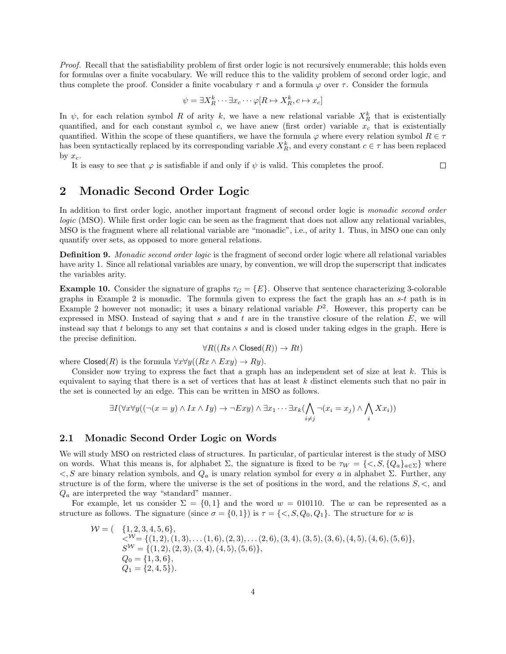Proof. Recall that the satisfiability problem of first order logic is not recursively enumerable; this holds even for formulas over a finite vocabulary. We will reduce this to the validity problem of second order logic, and thus complete the proof. Consider a finite vocabulary  $\tau$  and a formula  $\varphi$  over  $\tau$ . Consider the formula

$$
\psi = \exists X_R^k \cdots \exists x_c \cdots \varphi [R \mapsto X_R^k, c \mapsto x_c]
$$

In  $\psi$ , for each relation symbol R of arity k, we have a new relational variable  $X_R^k$  that is existentially quantified, and for each constant symbol c, we have anew (first order) variable  $x_c$  that is existentially quantified. Within the scope of these quantifiers, we have the formula  $\varphi$  where every relation symbol  $R \in \tau$ has been syntactically replaced by its corresponding variable  $X_R^k$ , and every constant  $c \in \tau$  has been replaced by  $x_c$ .

It is easy to see that  $\varphi$  is satisfiable if and only if  $\psi$  is valid. This completes the proof.

 $\Box$ 

## 2 Monadic Second Order Logic

In addition to first order logic, another important fragment of second order logic is monadic second order logic (MSO). While first order logic can be seen as the fragment that does not allow any relational variables, MSO is the fragment where all relational variable are "monadic", i.e., of arity 1. Thus, in MSO one can only quantify over sets, as opposed to more general relations.

Definition 9. Monadic second order logic is the fragment of second order logic where all relational variables have arity 1. Since all relational variables are unary, by convention, we will drop the superscript that indicates the variables arity.

**Example 10.** Consider the signature of graphs  $\tau_G = \{E\}$ . Observe that sentence characterizing 3-colorable graphs in Example 2 is monadic. The formula given to express the fact the graph has an s-t path is in Example 2 however not monadic; it uses a binary relational variable  $P^2$ . However, this property can be expressed in MSO. Instead of saying that s and t are in the transtive closure of the relation  $E$ , we will instead say that t belongs to any set that contains s and is closed under taking edges in the graph. Here is the precise definition.

$$
\forall R((Rs \land \mathsf{Closed}(R)) \to Rt)
$$

where  $\text{Closed}(R)$  is the formula  $\forall x \forall y ((Rx \land Exy) \rightarrow Ry)$ .

Consider now trying to express the fact that a graph has an independent set of size at leat k. This is equivalent to saying that there is a set of vertices that has at least  $k$  distinct elements such that no pair in the set is connected by an edge. This can be written in MSO as follows.

$$
\exists I(\forall x \forall y ((\neg(x = y) \land Ix \land Iy) \rightarrow \neg Exy) \land \exists x_1 \cdots \exists x_k (\bigwedge_{i \neq j} \neg(x_i = x_j) \land \bigwedge_i Xx_i))
$$

### 2.1 Monadic Second Order Logic on Words

We will study MSO on restricted class of structures. In particular, of particular interest is the study of MSO on words. What this means is, for alphabet  $\Sigma$ , the signature is fixed to be  $\tau_W = \{<, S, \{Q_a\}_{a \in \Sigma}\}\$  where  $\lt$ , S are binary relation symbols, and  $Q_a$  is unary relation symbol for every a in alphabet Σ. Further, any structure is of the form, where the universe is the set of positions in the word, and the relations  $S, \leq, s$  and  $Q_a$  are interpreted the way "standard" manner.

For example, let us consider  $\Sigma = \{0,1\}$  and the word  $w = 010110$ . The w can be represented as a structure as follows. The signature (since  $\sigma = \{0, 1\}$ ) is  $\tau = \{<, S, Q_0, Q_1\}$ . The structure for w is

$$
\mathcal{W} = \begin{pmatrix} \{1, 2, 3, 4, 5, 6\}, \\ \langle \mathcal{W} = \{(1, 2), (1, 3), \dots (1, 6), (2, 3), \dots (2, 6), (3, 4), (3, 5), (3, 6), (4, 5), (4, 6), (5, 6)\}, \\ S\mathcal{W} = \{(1, 2), (2, 3), (3, 4), (4, 5), (5, 6)\}, \\ Q_0 = \{1, 3, 6\}, \\ Q_1 = \{2, 4, 5\}. \end{pmatrix}
$$